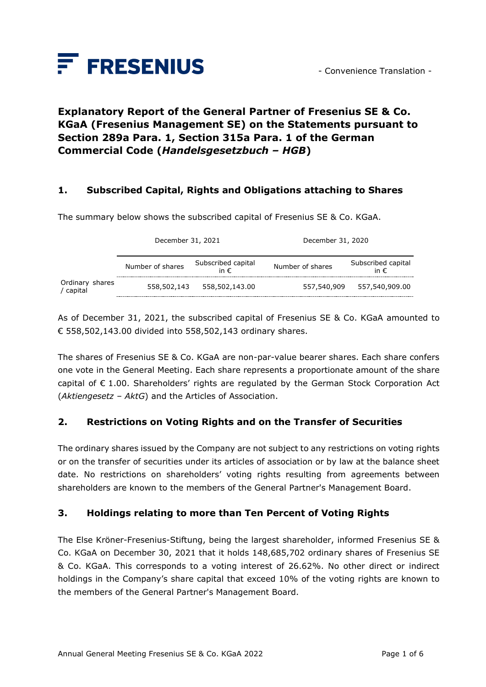

# **Explanatory Report of the General Partner of Fresenius SE & Co. KGaA (Fresenius Management SE) on the Statements pursuant to Section 289a Para. 1, Section 315a Para. 1 of the German Commercial Code (***Handelsgesetzbuch – HGB***)**

### **1. Subscribed Capital, Rights and Obligations attaching to Shares**

The summary below shows the subscribed capital of Fresenius SE & Co. KGaA.

|                            | December 31, 2021 |                                     | December 31, 2020 |                                     |
|----------------------------|-------------------|-------------------------------------|-------------------|-------------------------------------|
|                            | Number of shares  | Subscribed capital<br>in $\epsilon$ | Number of shares  | Subscribed capital<br>in $\epsilon$ |
| Ordinary shares<br>capital | 558,502,143       | 558,502,143.00                      | 557,540,909       | 557,540,909.00                      |

As of December 31, 2021, the subscribed capital of Fresenius SE & Co. KGaA amounted to € 558,502,143.00 divided into 558,502,143 ordinary shares.

The shares of Fresenius SE & Co. KGaA are non-par-value bearer shares. Each share confers one vote in the General Meeting. Each share represents a proportionate amount of the share capital of € 1.00. Shareholders' rights are regulated by the German Stock Corporation Act (*Aktiengesetz – AktG*) and the Articles of Association.

### **2. Restrictions on Voting Rights and on the Transfer of Securities**

The ordinary shares issued by the Company are not subject to any restrictions on voting rights or on the transfer of securities under its articles of association or by law at the balance sheet date. No restrictions on shareholders' voting rights resulting from agreements between shareholders are known to the members of the General Partner's Management Board.

### **3. Holdings relating to more than Ten Percent of Voting Rights**

The Else Kröner-Fresenius-Stiftung, being the largest shareholder, informed Fresenius SE & Co. KGaA on December 30, 2021 that it holds 148,685,702 ordinary shares of Fresenius SE & Co. KGaA. This corresponds to a voting interest of 26.62%. No other direct or indirect holdings in the Company's share capital that exceed 10% of the voting rights are known to the members of the General Partner's Management Board.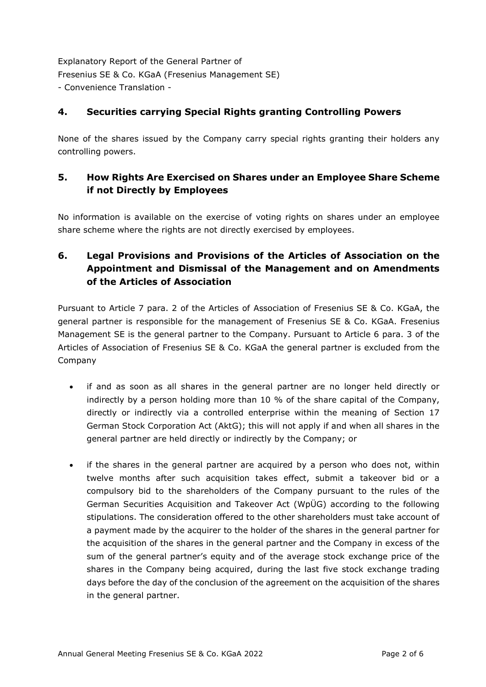## **4. Securities carrying Special Rights granting Controlling Powers**

None of the shares issued by the Company carry special rights granting their holders any controlling powers.

## **5. How Rights Are Exercised on Shares under an Employee Share Scheme if not Directly by Employees**

No information is available on the exercise of voting rights on shares under an employee share scheme where the rights are not directly exercised by employees.

# **6. Legal Provisions and Provisions of the Articles of Association on the Appointment and Dismissal of the Management and on Amendments of the Articles of Association**

Pursuant to Article 7 para. 2 of the Articles of Association of Fresenius SE & Co. KGaA, the general partner is responsible for the management of Fresenius SE & Co. KGaA. Fresenius Management SE is the general partner to the Company. Pursuant to Article 6 para. 3 of the Articles of Association of Fresenius SE & Co. KGaA the general partner is excluded from the Company

- if and as soon as all shares in the general partner are no longer held directly or indirectly by a person holding more than 10 % of the share capital of the Company, directly or indirectly via a controlled enterprise within the meaning of Section 17 German Stock Corporation Act (AktG); this will not apply if and when all shares in the general partner are held directly or indirectly by the Company; or
- if the shares in the general partner are acquired by a person who does not, within twelve months after such acquisition takes effect, submit a takeover bid or a compulsory bid to the shareholders of the Company pursuant to the rules of the German Securities Acquisition and Takeover Act (WpÜG) according to the following stipulations. The consideration offered to the other shareholders must take account of a payment made by the acquirer to the holder of the shares in the general partner for the acquisition of the shares in the general partner and the Company in excess of the sum of the general partner's equity and of the average stock exchange price of the shares in the Company being acquired, during the last five stock exchange trading days before the day of the conclusion of the agreement on the acquisition of the shares in the general partner.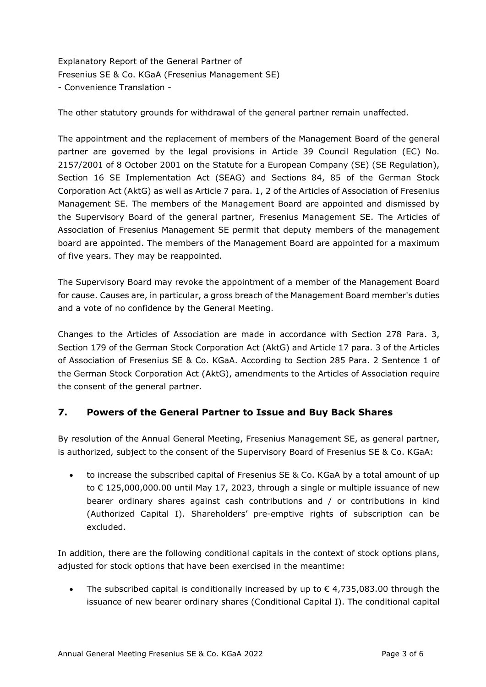The other statutory grounds for withdrawal of the general partner remain unaffected.

The appointment and the replacement of members of the Management Board of the general partner are governed by the legal provisions in Article 39 Council Regulation (EC) No. 2157/2001 of 8 October 2001 on the Statute for a European Company (SE) (SE Regulation), Section 16 SE Implementation Act (SEAG) and Sections 84, 85 of the German Stock Corporation Act (AktG) as well as Article 7 para. 1, 2 of the Articles of Association of Fresenius Management SE. The members of the Management Board are appointed and dismissed by the Supervisory Board of the general partner, Fresenius Management SE. The Articles of Association of Fresenius Management SE permit that deputy members of the management board are appointed. The members of the Management Board are appointed for a maximum of five years. They may be reappointed.

The Supervisory Board may revoke the appointment of a member of the Management Board for cause. Causes are, in particular, a gross breach of the Management Board member's duties and a vote of no confidence by the General Meeting.

Changes to the Articles of Association are made in accordance with Section 278 Para. 3, Section 179 of the German Stock Corporation Act (AktG) and Article 17 para. 3 of the Articles of Association of Fresenius SE & Co. KGaA. According to Section 285 Para. 2 Sentence 1 of the German Stock Corporation Act (AktG), amendments to the Articles of Association require the consent of the general partner.

## **7. Powers of the General Partner to Issue and Buy Back Shares**

By resolution of the Annual General Meeting, Fresenius Management SE, as general partner, is authorized, subject to the consent of the Supervisory Board of Fresenius SE & Co. KGaA:

• to increase the subscribed capital of Fresenius SE & Co. KGaA by a total amount of up to € 125,000,000.00 until May 17, 2023, through a single or multiple issuance of new bearer ordinary shares against cash contributions and / or contributions in kind (Authorized Capital I). Shareholders' pre-emptive rights of subscription can be excluded.

In addition, there are the following conditional capitals in the context of stock options plans, adjusted for stock options that have been exercised in the meantime:

The subscribed capital is conditionally increased by up to  $\epsilon$  4,735,083.00 through the issuance of new bearer ordinary shares (Conditional Capital I). The conditional capital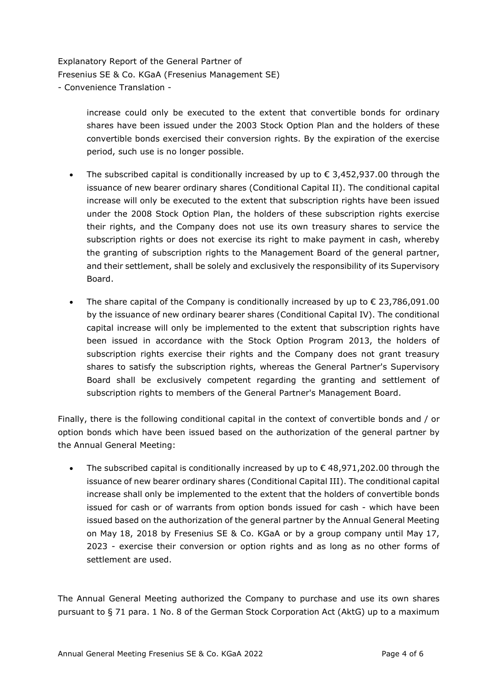> increase could only be executed to the extent that convertible bonds for ordinary shares have been issued under the 2003 Stock Option Plan and the holders of these convertible bonds exercised their conversion rights. By the expiration of the exercise period, such use is no longer possible.

- The subscribed capital is conditionally increased by up to  $\epsilon$  3,452,937.00 through the issuance of new bearer ordinary shares (Conditional Capital II). The conditional capital increase will only be executed to the extent that subscription rights have been issued under the 2008 Stock Option Plan, the holders of these subscription rights exercise their rights, and the Company does not use its own treasury shares to service the subscription rights or does not exercise its right to make payment in cash, whereby the granting of subscription rights to the Management Board of the general partner, and their settlement, shall be solely and exclusively the responsibility of its Supervisory Board.
- The share capital of the Company is conditionally increased by up to  $\epsilon$  23,786,091.00 by the issuance of new ordinary bearer shares (Conditional Capital IV). The conditional capital increase will only be implemented to the extent that subscription rights have been issued in accordance with the Stock Option Program 2013, the holders of subscription rights exercise their rights and the Company does not grant treasury shares to satisfy the subscription rights, whereas the General Partner's Supervisory Board shall be exclusively competent regarding the granting and settlement of subscription rights to members of the General Partner's Management Board.

Finally, there is the following conditional capital in the context of convertible bonds and / or option bonds which have been issued based on the authorization of the general partner by the Annual General Meeting:

The subscribed capital is conditionally increased by up to  $\epsilon$  48,971,202.00 through the issuance of new bearer ordinary shares (Conditional Capital III). The conditional capital increase shall only be implemented to the extent that the holders of convertible bonds issued for cash or of warrants from option bonds issued for cash - which have been issued based on the authorization of the general partner by the Annual General Meeting on May 18, 2018 by Fresenius SE & Co. KGaA or by a group company until May 17, 2023 - exercise their conversion or option rights and as long as no other forms of settlement are used.

The Annual General Meeting authorized the Company to purchase and use its own shares pursuant to § 71 para. 1 No. 8 of the German Stock Corporation Act (AktG) up to a maximum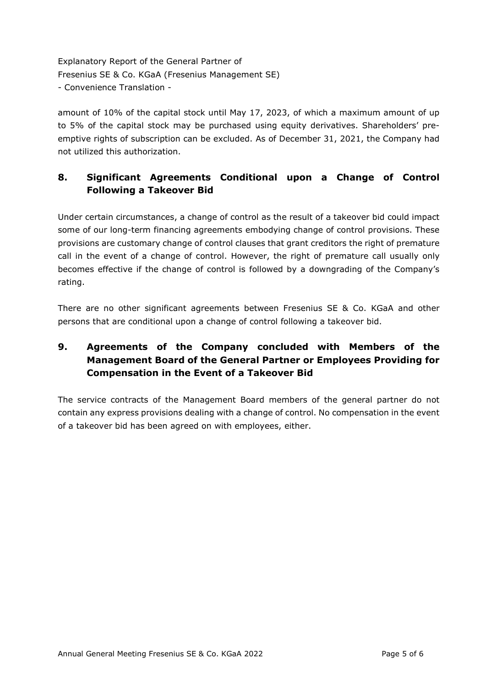amount of 10% of the capital stock until May 17, 2023, of which a maximum amount of up to 5% of the capital stock may be purchased using equity derivatives. Shareholders' preemptive rights of subscription can be excluded. As of December 31, 2021, the Company had not utilized this authorization.

# **8. Significant Agreements Conditional upon a Change of Control Following a Takeover Bid**

Under certain circumstances, a change of control as the result of a takeover bid could impact some of our long-term financing agreements embodying change of control provisions. These provisions are customary change of control clauses that grant creditors the right of premature call in the event of a change of control. However, the right of premature call usually only becomes effective if the change of control is followed by a downgrading of the Company's rating.

There are no other significant agreements between Fresenius SE & Co. KGaA and other persons that are conditional upon a change of control following a takeover bid.

# **9. Agreements of the Company concluded with Members of the Management Board of the General Partner or Employees Providing for Compensation in the Event of a Takeover Bid**

The service contracts of the Management Board members of the general partner do not contain any express provisions dealing with a change of control. No compensation in the event of a takeover bid has been agreed on with employees, either.